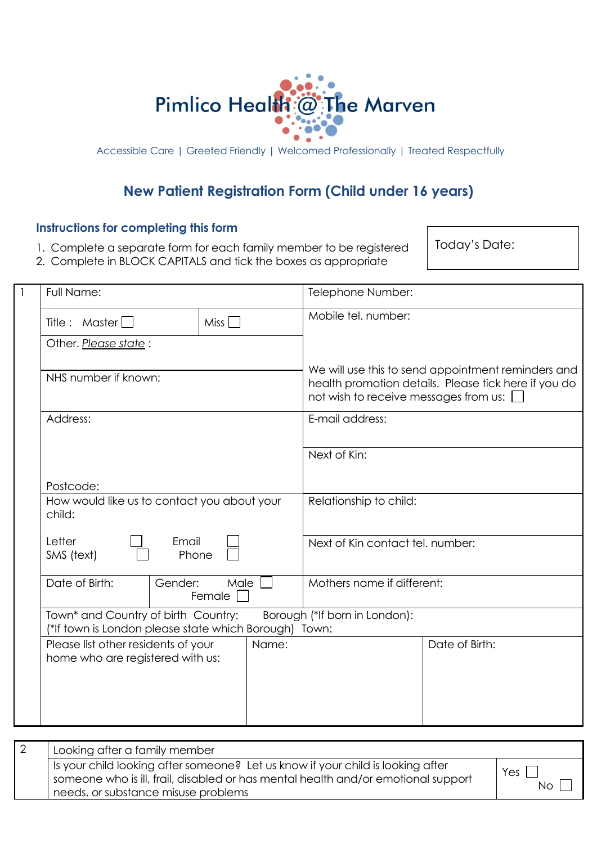

Accessible Care | Greeted Friendly | Welcomed Professionally | Treated Respectfully

## **New Patient Registration Form (Child under 16 years)**

## **Instructions for completing this form**

- 1. Complete a separate form for each family member to be registered
- 2. Complete in BLOCK CAPITALS and tick the boxes as appropriate

Today's Date:

| Full Name:                                                                                   | Telephone Number:                                                                                                                                     |  |
|----------------------------------------------------------------------------------------------|-------------------------------------------------------------------------------------------------------------------------------------------------------|--|
| Title : Master $\Box$<br>$Miss$ $\Box$                                                       | Mobile tel. number:                                                                                                                                   |  |
| Other. Please state:                                                                         |                                                                                                                                                       |  |
| NHS number if known:                                                                         | We will use this to send appointment reminders and<br>health promotion details. Please tick here if you do<br>not wish to receive messages from us: [ |  |
| Address:                                                                                     | E-mail address:                                                                                                                                       |  |
|                                                                                              | Next of Kin:                                                                                                                                          |  |
| Postcode:                                                                                    |                                                                                                                                                       |  |
| How would like us to contact you about your<br>child:                                        | Relationship to child:                                                                                                                                |  |
| Letter<br>Email<br>SMS (text)<br>Phone                                                       | Next of Kin contact tel. number:                                                                                                                      |  |
| Date of Birth:<br>Gender:<br>Male<br>Female                                                  | Mothers name if different:                                                                                                                            |  |
| Town* and Country of birth Country:<br>(*If town is London please state which Borough) Town: | Borough (*If born in London):                                                                                                                         |  |
| Please list other residents of your<br>Name:<br>home who are registered with us:             | Date of Birth:                                                                                                                                        |  |
|                                                                                              |                                                                                                                                                       |  |

| Looking after a family member                                                                                                                                                                                             |            |
|---------------------------------------------------------------------------------------------------------------------------------------------------------------------------------------------------------------------------|------------|
| Is your child looking after someone? Let us know if your child is looking after<br>$\frac{1}{2}$ someone who is ill, frail, disabled or has mental health and/or emotional support<br>needs, or substance misuse problems | Yes<br>No' |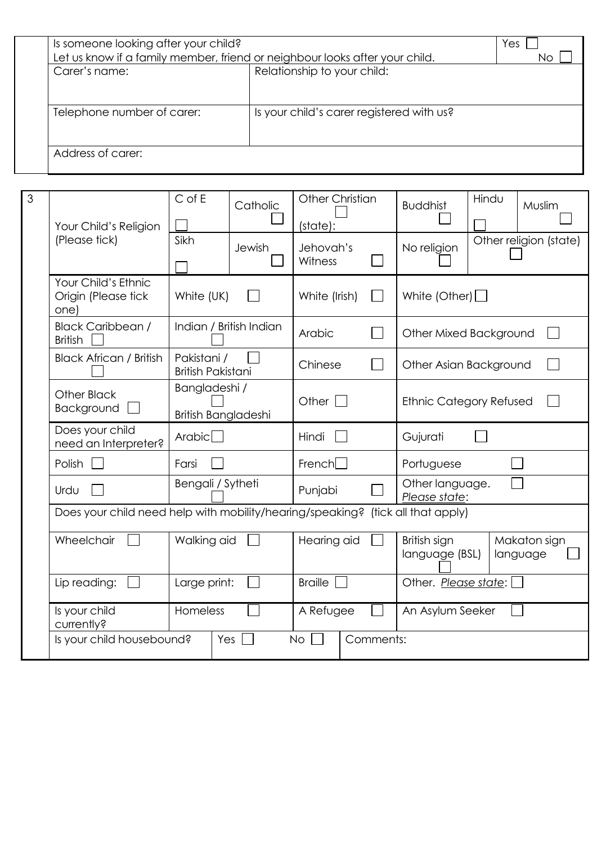| Is someone looking after your child? | Let us know if a family member, friend or neighbour looks after your child. | Yes<br>NO. |
|--------------------------------------|-----------------------------------------------------------------------------|------------|
| Carer's name:                        | Relationship to your child:                                                 |            |
|                                      |                                                                             |            |
|                                      |                                                                             |            |
| Telephone number of carer:           | Is your child's carer registered with us?                                   |            |
|                                      |                                                                             |            |
| Address of carer:                    |                                                                             |            |

| 3                                             | Your Child's Religion                                                           | $C$ of E                                | Catholic  | <b>Other Christian</b><br>(state): |                                  | <b>Buddhist</b>                | Hindu<br>Muslim          |
|-----------------------------------------------|---------------------------------------------------------------------------------|-----------------------------------------|-----------|------------------------------------|----------------------------------|--------------------------------|--------------------------|
|                                               | (Please tick)                                                                   | Sikh                                    | Jewish    | Jehovah's<br>Witness               |                                  | No religion                    | Other religion (state)   |
|                                               | Your Child's Ethnic<br>Origin (Please tick<br>one)                              | White (UK)                              |           | White (Irish)                      |                                  | White (Other) $\Box$           |                          |
|                                               | <b>Black Caribbean /</b><br><b>British</b>                                      | Indian / British Indian                 |           | Arabic                             |                                  | Other Mixed Background         |                          |
|                                               | <b>Black African / British</b>                                                  | Pakistani /<br><b>British Pakistani</b> |           | Chinese                            |                                  | Other Asian Background         |                          |
|                                               | Bangladeshi /<br><b>Other Black</b><br>Background<br>British Bangladeshi        |                                         |           | Other $\Box$                       |                                  | <b>Ethnic Category Refused</b> |                          |
|                                               | Does your child<br>need an Interpreter?                                         | Arabic <sup>1</sup><br>Farsi            |           | Hindi                              |                                  | Gujurati                       |                          |
|                                               | Polish                                                                          |                                         |           | French                             |                                  | Portuguese                     |                          |
|                                               | Bengali / Sytheti<br>Urdu                                                       |                                         | Punjabi   |                                    | Other language.<br>Please state: |                                |                          |
|                                               | Does your child need help with mobility/hearing/speaking? (tick all that apply) |                                         |           |                                    |                                  |                                |                          |
|                                               | Wheelchair                                                                      | Walking aid                             |           | Hearing aid                        |                                  | British sign<br>language (BSL) | Makaton sign<br>language |
|                                               | Lip reading:                                                                    | Large print:                            |           | <b>Braille</b>                     |                                  | Other. Please state:           |                          |
|                                               | Is your child<br>currently?                                                     | Homeless                                |           | A Refugee                          |                                  | An Asylum Seeker               |                          |
| Is your child housebound?<br>Yes<br><b>No</b> |                                                                                 |                                         | Comments: |                                    |                                  |                                |                          |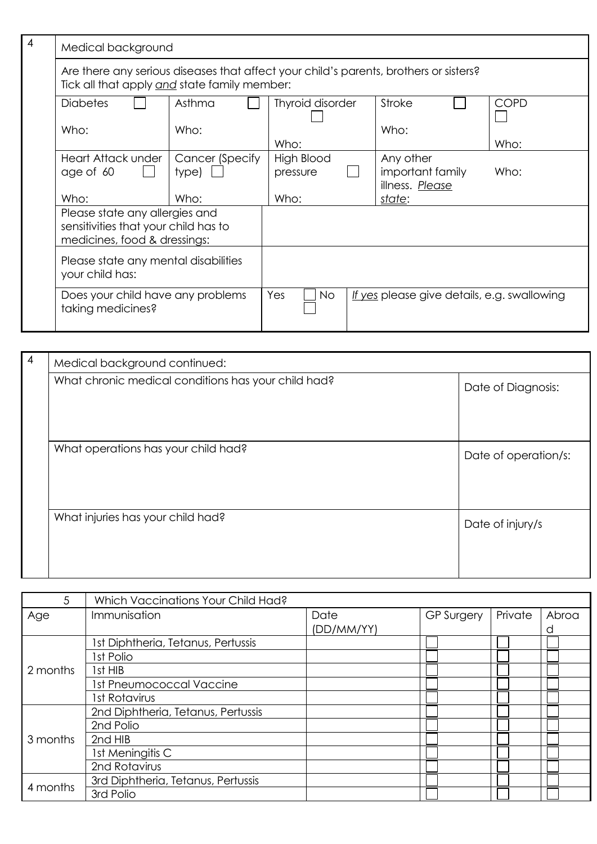| $\overline{4}$ | Medical background                                                                                                                    |                          |                         |  |                                                  |  |             |
|----------------|---------------------------------------------------------------------------------------------------------------------------------------|--------------------------|-------------------------|--|--------------------------------------------------|--|-------------|
|                | Are there any serious diseases that affect your child's parents, brothers or sisters?<br>Tick all that apply and state family member: |                          |                         |  |                                                  |  |             |
|                | <b>Diabetes</b>                                                                                                                       | Asthma                   | Thyroid disorder        |  | Stroke                                           |  | <b>COPD</b> |
|                | Who:                                                                                                                                  | Who:                     | Who:                    |  | Who:                                             |  | Who:        |
|                | Heart Attack under<br>age of 60                                                                                                       | Cancer (Specify<br>type) | High Blood<br>pressure  |  | Any other<br>important family<br>illness. Please |  | Who:        |
|                | Who:                                                                                                                                  | Who:                     | Who:                    |  | state:                                           |  |             |
|                | Please state any allergies and<br>sensitivities that your child has to<br>medicines, food & dressings:                                |                          |                         |  |                                                  |  |             |
|                | Please state any mental disabilities<br>your child has:                                                                               |                          |                         |  |                                                  |  |             |
|                | Does your child have any problems<br>taking medicines?                                                                                |                          | <b>Yes</b><br><b>No</b> |  | If yes please give details, e.g. swallowing      |  |             |

| $\overline{4}$ | Medical background continued:                       |                      |  |  |  |
|----------------|-----------------------------------------------------|----------------------|--|--|--|
|                | What chronic medical conditions has your child had? | Date of Diagnosis:   |  |  |  |
|                | What operations has your child had?                 | Date of operation/s: |  |  |  |
|                | What injuries has your child had?                   | Date of injury/s     |  |  |  |

| 5        | Which Vaccinations Your Child Had? |            |                   |         |       |
|----------|------------------------------------|------------|-------------------|---------|-------|
| Age      | Immunisation                       | Date       | <b>GP Surgery</b> | Private | Abroa |
|          |                                    | (DD/MM/YY) |                   |         |       |
|          | 1st Diphtheria, Tetanus, Pertussis |            |                   |         |       |
|          | Ist Polio                          |            |                   |         |       |
| 2 months | lst HIB                            |            |                   |         |       |
|          | Ist Pneumococcal Vaccine           |            |                   |         |       |
|          | Ist Rotavirus                      |            |                   |         |       |
|          | 2nd Diphtheria, Tetanus, Pertussis |            |                   |         |       |
|          | 2nd Polio                          |            |                   |         |       |
| 3 months | 2nd HIB                            |            |                   |         |       |
|          | Ist Meningitis C                   |            |                   |         |       |
|          | 2nd Rotavirus                      |            |                   |         |       |
|          | 3rd Diphtheria, Tetanus, Pertussis |            |                   |         |       |
| 4 months | 3rd Polio                          |            |                   |         |       |